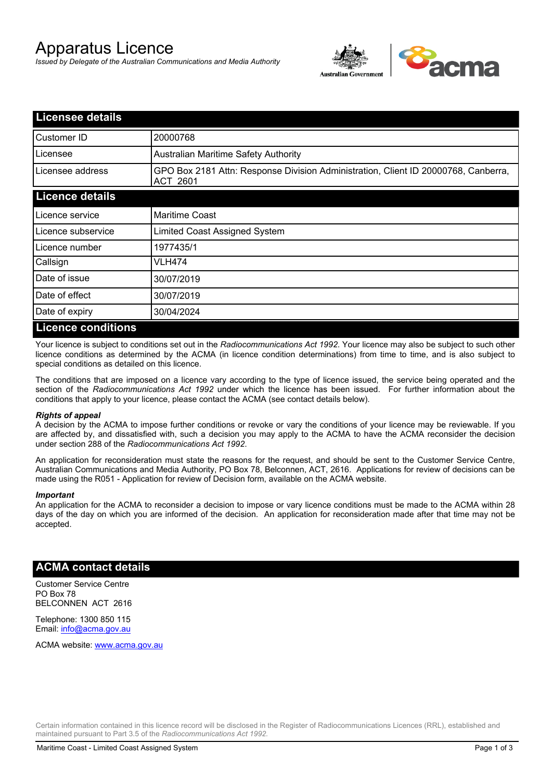# Apparatus Licence

*Issued by Delegate of the Australian Communications and Media Authority*



| <b>Licensee details</b>   |                                                                                                       |
|---------------------------|-------------------------------------------------------------------------------------------------------|
| Customer ID               | 20000768                                                                                              |
| Licensee                  | <b>Australian Maritime Safety Authority</b>                                                           |
| Licensee address          | GPO Box 2181 Attn: Response Division Administration, Client ID 20000768, Canberra,<br><b>ACT 2601</b> |
| <b>Licence details</b>    |                                                                                                       |
| Licence service           | <b>Maritime Coast</b>                                                                                 |
| Licence subservice        | Limited Coast Assigned System                                                                         |
| Licence number            | 1977435/1                                                                                             |
| Callsign                  | VLH474                                                                                                |
| Date of issue             | 30/07/2019                                                                                            |
| Date of effect            | 30/07/2019                                                                                            |
| Date of expiry            | 30/04/2024                                                                                            |
| <b>Licence conditions</b> |                                                                                                       |

Your licence is subject to conditions set out in the *Radiocommunications Act 1992*. Your licence may also be subject to such other licence conditions as determined by the ACMA (in licence condition determinations) from time to time, and is also subject to special conditions as detailed on this licence.

The conditions that are imposed on a licence vary according to the type of licence issued, the service being operated and the section of the *Radiocommunications Act 1992* under which the licence has been issued. For further information about the conditions that apply to your licence, please contact the ACMA (see contact details below).

### *Rights of appeal*

A decision by the ACMA to impose further conditions or revoke or vary the conditions of your licence may be reviewable. If you are affected by, and dissatisfied with, such a decision you may apply to the ACMA to have the ACMA reconsider the decision under section 288 of the *Radiocommunications Act 1992*.

An application for reconsideration must state the reasons for the request, and should be sent to the Customer Service Centre, Australian Communications and Media Authority, PO Box 78, Belconnen, ACT, 2616. Applications for review of decisions can be made using the R051 - Application for review of Decision form, available on the ACMA website.

#### *Important*

An application for the ACMA to reconsider a decision to impose or vary licence conditions must be made to the ACMA within 28 days of the day on which you are informed of the decision. An application for reconsideration made after that time may not be accepted.

### **ACMA contact details**

Customer Service Centre PO Box 78 BELCONNEN ACT 2616

Telephone: 1300 850 115 Email: info@acma.gov.au

ACMA website: www.acma.gov.au

Certain information contained in this licence record will be disclosed in the Register of Radiocommunications Licences (RRL), established and maintained pursuant to Part 3.5 of the *Radiocommunications Act 1992.*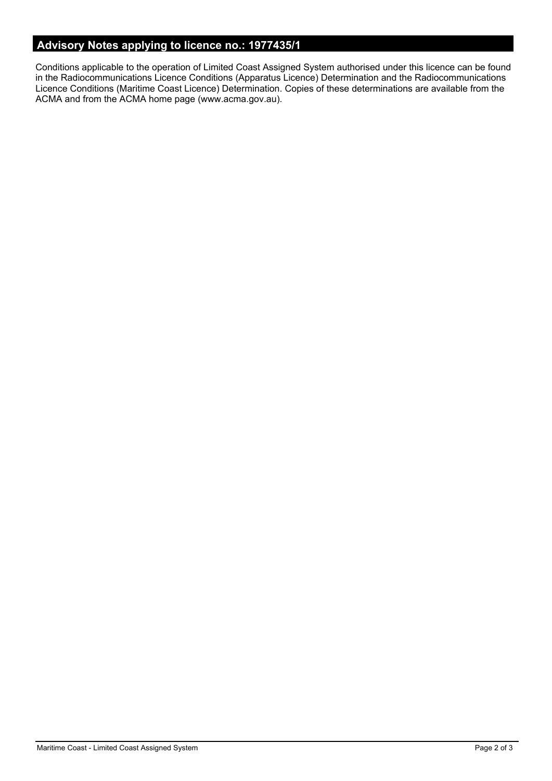# **Advisory Notes applying to licence no.: 1977435/1**

Conditions applicable to the operation of Limited Coast Assigned System authorised under this licence can be found in the Radiocommunications Licence Conditions (Apparatus Licence) Determination and the Radiocommunications Licence Conditions (Maritime Coast Licence) Determination. Copies of these determinations are available from the ACMA and from the ACMA home page (www.acma.gov.au).